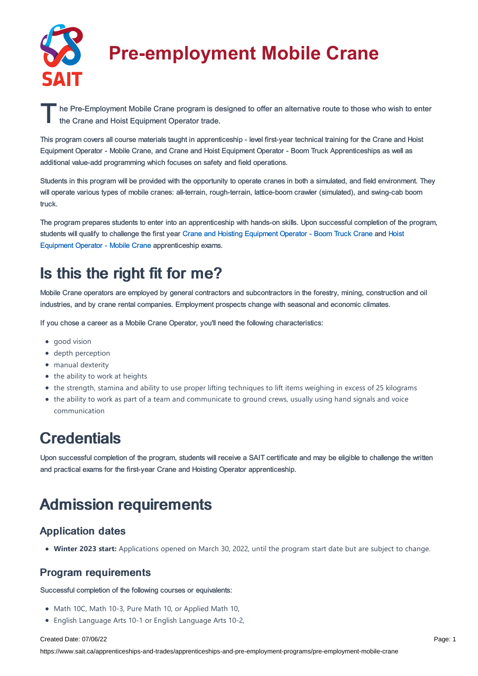

# **Pre-employment Mobile Crane**

The Pre-Employment Mobile Crane program is designed to offer an alternative route to those who wish to enter<br>the Crane and Hoist Equipment Operator trade. the Crane and Hoist Equipment Operator trade.

This program covers all course materials taught in apprenticeship - level first-year technical training for the Crane and Hoist Equipment Operator - Mobile Crane, and Crane and Hoist Equipment Operator - Boom Truck Apprenticeships as well as additional value-add programming which focuses on safety and field operations.

Students in this program will be provided with the opportunity to operate cranes in both a simulated, and field environment. They will operate various types of mobile cranes: all-terrain, rough-terrain, lattice-boom crawler (simulated), and swing-cab boom truck.

The program prepares students to enter into an apprenticeship with hands-on skills. Upon successful completion of the program, students will qualify to challenge the first year Crane and Hoisting [Equipment](https://www.sait.ca/pages/apprenticeships-and-trades/apprenticeships-and-pre-employment-programs/crane-and-hoisting-operator-boom-truck) Operator - Boom Truck Crane and Hoist Equipment Operator - Mobile Crane [apprenticeship](https://www.sait.ca/pages/apprenticeships-and-trades/apprenticeships-and-pre-employment-programs/crane-and-hoisting-operator-mobile-crane) exams.

### Is this the right fit for me?

Mobile Crane operators are employed by general contractors and subcontractors in the forestry, mining, construction and oil industries, and by crane rental companies. Employment prospects change with seasonal and economic climates.

If you chose a career as a Mobile Crane Operator, you'll need the following characteristics:

- good vision
- depth perception
- manual dexterity
- $\bullet$  the ability to work at heights
- the strength, stamina and ability to use proper lifting techniques to lift items weighing in excess of 25 kilograms
- the ability to work as part of a team and communicate to ground crews, usually using hand signals and voice communication

### **Credentials**

Upon successful completion of the program, students will receive a SAIT certificate and may be eligible to challenge the written and practical exams for the first-year Crane and Hoisting Operator apprenticeship.

## Admission requirements

#### Application dates

**Winter 2023 start:** Applications opened on March 30, 2022, until the program start date but are subject to change.

### Program requirements

Successful completion of the following courses or equivalents:

- Math 10C, Math 10-3, Pure Math 10, or Applied Math 10,
- English Language Arts 10-1 or English Language Arts 10-2,

#### Created Date: 07/06/22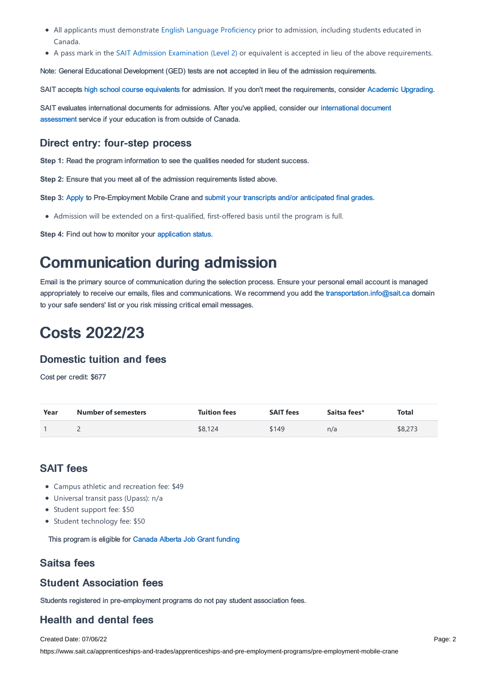- All applicants must demonstrate English Language [Proficiency](https://www.sait.ca/pages/admissions/before-you-apply/english-proficiency/english-proficiency) prior to admission, including students educated in Canada.
- A pass mark in the SAIT Admission [Examination](https://www.sait.ca/pages/student-life/learner-services/testing-services) (Level 2) or equivalent is accepted in lieu of the above requirements.

Note: General Educational Development (GED) tests are **not** accepted in lieu of the admission requirements.

SAIT accepts high school course [equivalents](https://www.sait.ca/pages/admissions/before-you-apply/high-school-course-equivalencies) for admission. If you don't meet the requirements, consider Academic [Upgrading.](https://www.sait.ca/pages/programs-and-courses/academic-upgrading)

SAIT evaluates [international](https://www.sait.ca/pages/admissions/after-you-apply/international-document-assessment) documents for admissions. After you've applied, consider our international document assessment service if your education is from outside of Canada.

### Direct entry: four-step process

**Step 1:** Read the program information to see the qualities needed for student success.

**Step 2:** Ensure that you meet all of the admission requirements listed above.

**Step 3:** [Apply](https://www.sait.ca/pages/admissions/apply) to Pre-Employment Mobile Crane and submit your transcripts and/or [anticipated](https://www.sait.ca/pages/admissions/after-you-apply/transcripts-and-supporting-documents) final grades.

Admission will be extended on a first-qualified, first-offered basis until the program is full.

**Step 4:** Find out how to monitor your [application](https://www.sait.ca/pages/admissions/after-you-apply/tracking-your-application) status.

### Communication during admission

Email is the primary source of communication during the selection process. Ensure your personal email account is managed appropriately to receive our emails, files and communications. We recommend you add the [transportation.info@sait.ca](https://sait.camailto:transportation.info@sait.ca) domain to your safe senders' list or you risk missing critical email messages.

### Costs 2022/23

### Domestic tuition and fees

Cost per credit: \$677

| Year | <b>Number of semesters</b> | <b>Tuition fees</b> | <b>SAIT fees</b> | Saitsa fees* | Total   |
|------|----------------------------|---------------------|------------------|--------------|---------|
|      | -                          | \$8,124             | \$149            | n/a          | \$8,273 |

### SAIT fees

- Campus athletic and recreation fee: \$49
- Universal transit pass (Upass): n/a
- Student support fee: \$50
- Student technology fee: \$50

This program is eligible for [Canada](https://www.sait.ca/business-and-industry/canada-alberta-job-grant) Alberta Job Grant funding

### Saitsa fees

#### Student Association fees

Students registered in pre-employment programs do not pay student association fees.

### Health and dental fees

Created Date: 07/06/22